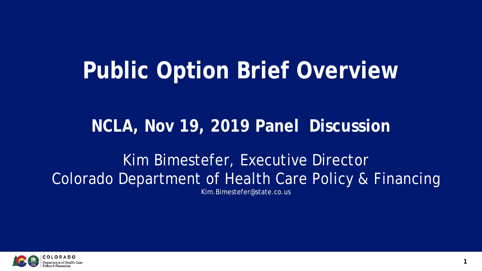## **Public Option Brief Overview**

### **NCLA, Nov 19, 2019 Panel Discussion**

Kim Bimestefer, Executive Director Colorado Department of Health Care Policy & Financing Kim.Bimestefer@state.co.us

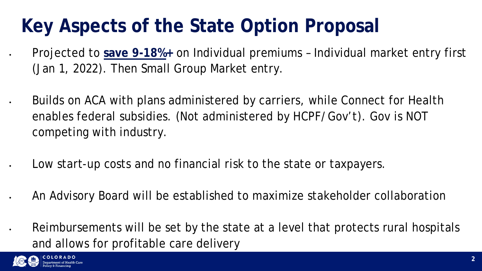### **Key Aspects of the State Option Proposal**

• Projected to **save 9-18%+** on Individual premiums – Individual market entry first (Jan 1, 2022). Then Small Group Market entry.

- Builds on ACA with plans administered by carriers, while Connect for Health enables federal subsidies. (Not administered by HCPF/Gov't). Gov is NOT competing with industry.
	- Low start-up costs and no financial risk to the state or taxpayers.
- An Advisory Board will be established to maximize stakeholder collaboration
- Reimbursements will be set by the state at a level that protects rural hospitals and allows for profitable care delivery

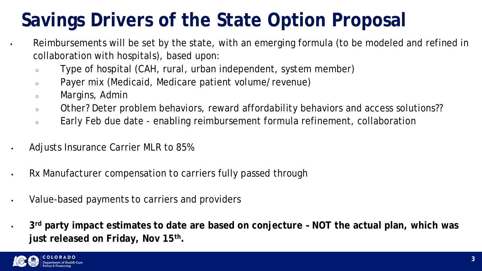### **Savings Drivers of the State Option Proposal**

Reimbursements will be set by the state, with an emerging formula (to be modeled and refined in collaboration with hospitals), based upon:

- Type of hospital (CAH, rural, urban independent, system member)
- Payer mix (Medicaid, Medicare patient volume/revenue)
- Margins, Admin
- Other? Deter problem behaviors, reward affordability behaviors and access solutions??
- Early Feb due date enabling reimbursement formula refinement, collaboration
- Adjusts Insurance Carrier MLR to 85%
- Rx Manufacturer compensation to carriers fully passed through
- Value-based payments to carriers and providers
- **3rd party impact estimates to date are based on conjecture – NOT the actual plan, which was just released on Friday, Nov 15th.**

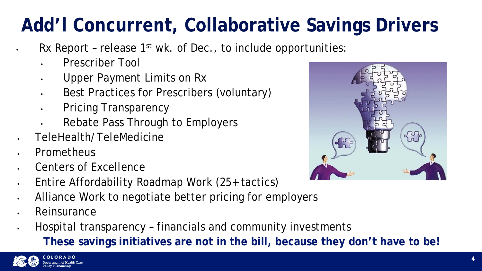# **Add'l Concurrent, Collaborative Savings Drivers**

- Rx Report release  $1<sup>st</sup>$  wk. of Dec., to include opportunities:
- Prescriber Tool
- Upper Payment Limits on Rx
- Best Practices for Prescribers (voluntary)
- Pricing Transparency
- Rebate Pass Through to Employers
- TeleHealth/TeleMedicine
- Prometheus
- Centers of Excellence
- Entire Affordability Roadmap Work (25+ tactics)



- Alliance Work to negotiate better pricing for employers
- **Reinsurance**
- Hospital transparency financials and community investments **These savings initiatives are not in the bill, because they don't have to be!**



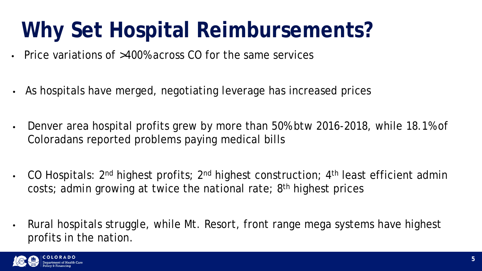## **Why Set Hospital Reimbursements?**

- Price variations of >400% across CO for the same services
- As hospitals have merged, negotiating leverage has increased prices
- Denver area hospital profits grew by more than 50% btw 2016-2018, while 18.1% of Coloradans reported problems paying medical bills
- CO Hospitals:  $2^{nd}$  highest profits;  $2^{nd}$  highest construction;  $4^{th}$  least efficient admin costs; admin growing at twice the national rate; 8th highest prices
- Rural hospitals struggle, while Mt. Resort, front range mega systems have highest profits in the nation.



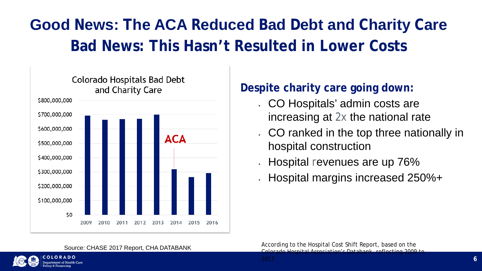### **Good News: The ACA Reduced Bad Debt and Charity Care Bad News: This Hasn't Resulted in Lower Costs**



#### Source: CHASE 2017 Report, CHA DATABANK



OLORADO

#### **Despite charity care going down:**

- . CO Hospitals' admin costs are
	- increasing at 2x the national rate
- . CO ranked in the top three nationally in hospital construction
	- Hospital revenues are up 76%
	- Hospital margins increased 250%+

2017. **6**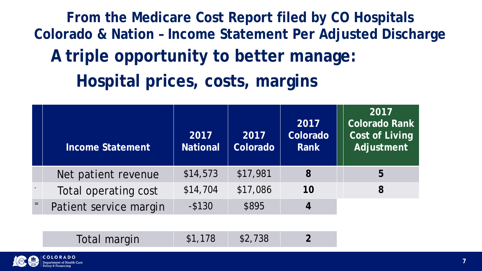|     | <b>Income Statement</b> | 2017<br><b>National</b> | 2017<br>Colorado | 2017<br>Colorado<br>Rank | 2017<br><b>Colorado Rank</b><br><b>Cost of Living</b><br>Adjustment |
|-----|-------------------------|-------------------------|------------------|--------------------------|---------------------------------------------------------------------|
|     | Net patient revenue     | \$14,573                | \$17,981         | 8                        | 5                                                                   |
|     | Total operating cost    | \$14,704                | \$17,086         | 10                       | 8                                                                   |
| $=$ | Patient service margin  | $-$ \$130               | \$895            | 4                        |                                                                     |

#### Total margin  $$1,178$   $$2,738$  **2**



**From the Medicare Cost Report filed by CO Hospitals Colorado & Nation – Income Statement Per Adjusted Discharge Hospital prices, costs, margins A triple opportunity to better manage:**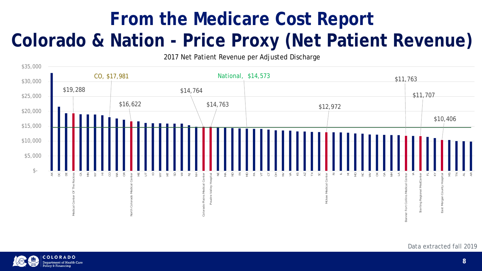### **From the Medicare Cost Report Colorado & Nation - Price Proxy (Net Patient Revenue)**

#### Data extracted fall 2019





partment of Health Care

2017 Net Patient Revenue per Adjusted Discharge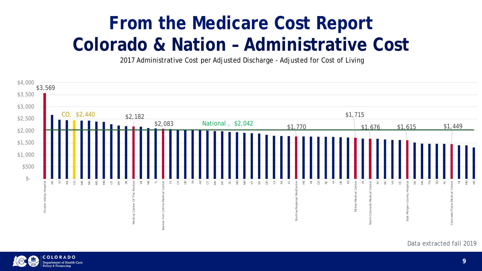### **From the Medicare Cost Report Colorado & Nation – Administrative Cost**

#### Data extracted fall 2019





olicy & Financing

2017 Administrative Cost per Adjusted Discharge - Adjusted for Cost of Living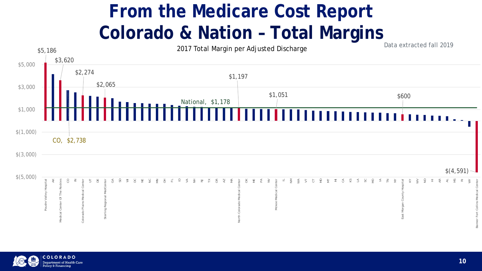## **From the Medicare Cost Report** Colorado & Nation - Total Margins





olicy & Financing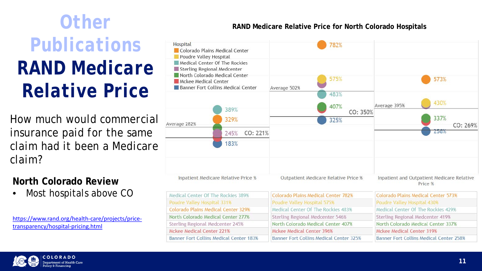**North Colorado Review**

Most hospitals above CO

[https://www.rand.org/health-care/projects/price](https://www.rand.org/health-care/projects/price-transparency/hospital-pricing.html)transparency/hospital-pricing.html

| Hospital<br>Colorado Plains Medical Center<br>Poudre Valley Hospital<br>Medical Center Of The Rockies<br>Sterling Regional Medcenter |                                     |                             |
|--------------------------------------------------------------------------------------------------------------------------------------|-------------------------------------|-----------------------------|
| North Colorado Medical Center<br>Mckee Medical Center<br>Banner Fort Collins Medical Center                                          | Average 502%                        |                             |
| Average 282%                                                                                                                         | 389%<br>329%                        |                             |
|                                                                                                                                      | CO: 221%<br>245%<br>183%            |                             |
|                                                                                                                                      | Inpatient Medicare Relative Price % | <b>Outpatient Medio</b>     |
| Medical Center Of The Rockies 389%                                                                                                   |                                     | <b>Colorado Plains Medi</b> |
| Poudre Valley Hospital 331%                                                                                                          | <b>Poudre Valley Hospit</b>         |                             |
| <b>Colorado Plains Medical Center 329%</b>                                                                                           | Medical Center Of TI                |                             |

North Colorado Medical Center 277%

Banner Fort Collins Medical Center 183%

Sterling Regional Medcenter 245%

Mckee Medical Center 221%

| 782%                  |                                                       |  |
|-----------------------|-------------------------------------------------------|--|
| 575%                  | 573%                                                  |  |
| 483%<br>407%          | 430%<br>Average 395%                                  |  |
| CO: 350%<br>325%      | 337%<br>CO: 269%<br>258%                              |  |
|                       |                                                       |  |
| care Relative Price % | Inpatient and Outpatient Medicare Relative<br>Price % |  |
| cal Center 787%       | Colorado Plains Medical Center 573%                   |  |

| <b>Colorado Plains Medical Center 573%</b> |  |  |
|--------------------------------------------|--|--|
| Poudre Valley Hospital 430%                |  |  |
| Medical Center Of The Rockies 429%         |  |  |
| Sterling Regional Medcenter 419%           |  |  |
| North Colorado Medical Center 337%         |  |  |
| Mckee Medical Center 319%                  |  |  |
| Banner Fort Collins Medical Center 258%    |  |  |
|                                            |  |  |

*How much would commercial insurance paid for the same claim had it been a Medicare claim?*

#### **Other Edge RAND Medicare Relative Price for North Colorado Hospitals**

## *Publications RAND Medicare Relative Price*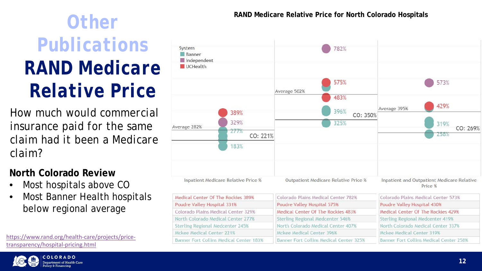#### **North Colorado Review**

- Most hospitals above CO
- Most Banner Health hospitals below regional average

[https://www.rand.org/health-care/projects/price](https://www.rand.org/health-care/projects/price-transparency/hospital-pricing.html)transparency/hospital-pricing.html



**COLORADO** artment of Health Care

| System<br>Banner<br>Independent<br>UCHealth |                                         |                            |
|---------------------------------------------|-----------------------------------------|----------------------------|
|                                             |                                         | Average 502%               |
|                                             | 389%                                    |                            |
|                                             | 329%                                    |                            |
| Average 282%                                | 277%<br>CO: 221%                        |                            |
|                                             | 183%                                    |                            |
|                                             | Inpatient Medicare Relative Price %     | <b>Outpatient Med</b>      |
|                                             | Medical Center Of The Rockies 389%      |                            |
| Poudre Valley Hospital 331%                 |                                         | <b>Poudre Valley Hosp</b>  |
| Colorado Plains Medical Center 329%         |                                         | Medical Center Of          |
| North Colorado Medical Center 277%          | <b>Sterling Regional N</b>              |                            |
| Sterling Regional Medcenter 245%            | North Colorado Me                       |                            |
| Mckee Medical Center 221%                   |                                         | Mckee Medical Cen          |
|                                             | Banner Fort Collins Medical Center 183% | <b>Banner Fort Collins</b> |



### **RAND Medicare Relative Price for North Colorado Hospitals Other**  *RAND Medicare Relative Price for North Colorado Hospitals Publications RAND Medicare Relative Price*

*How much would commercial insurance paid for the same claim had it been a Medicare claim?*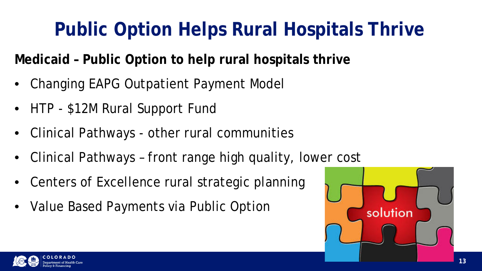**Medicaid – Public Option to help rural hospitals thrive**

- Changing EAPG Outpatient Payment Model
- HTP \$12M Rural Support Fund
- Clinical Pathways other rural communities
- Clinical Pathways front range high quality, lower cost
- Centers of Excellence rural strategic planning
- Value Based Payments via Public Option





# **Public Option Helps Rural Hospitals Thrive**